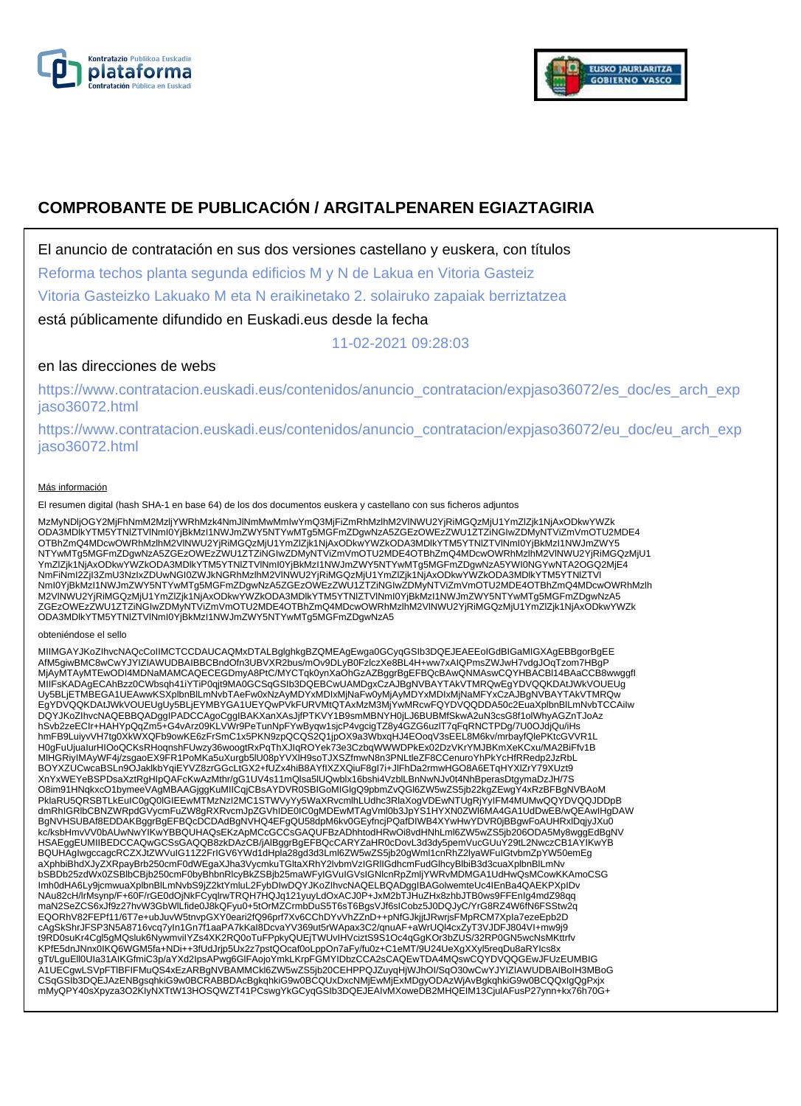



# **COMPROBANTE DE PUBLICACIÓN / ARGITALPENAREN EGIAZTAGIRIA**

El anuncio de contratación en sus dos versiones castellano y euskera, con títulos

Reforma techos planta segunda edificios M y N de Lakua en Vitoria Gasteiz

Vitoria Gasteizko Lakuako M eta N eraikinetako 2. solairuko zapaiak berriztatzea

está públicamente difundido en Euskadi.eus desde la fecha

11-02-2021 09:28:03

## en las direcciones de webs

https://www.contratacion.euskadi.eus/contenidos/anuncio\_contratacion/expjaso36072/es\_doc/es\_arch\_exp jaso36072.html

https://www.contratacion.euskadi.eus/contenidos/anuncio\_contratacion/expjaso36072/eu\_doc/eu\_arch\_exp jaso36072.html

### Más información

El resumen digital (hash SHA-1 en base 64) de los dos documentos euskera y castellano con sus ficheros adjuntos

MzMyNDljOGY2MjFhNmM2MzljYWRhMzk4NmJlNmMwMmIwYmQ3MjFiZmRhMzlhM2VlNWU2YjRiMGQzMjU1YmZlZjk1NjAxODkwYWZk ODA3MDlkYTM5YTNlZTVlNmI0YjBkMzI1NWJmZWY5NTYwMTg5MGFmZDgwNzA5ZGEzOWEzZWU1ZTZiNGIwZDMyNTViZmVmOTU2MDE4 OTBhZmQ4MDcwOWRhMzlhM2VlNWU2YjRiMGQzMjU1YmZlZjk1NjAxODkwYWZkODA3MDlkYTM5YTNlZTVlNml0YjBkMzI1NWJmZWY5<br>NTYwMTg5MGFmZDgwNzA5ZGEzOWEzZWU1ZTZiNGIwZDMyNTViZmVmOTU2MDE4OTBhZmQ4MDcwOWRhMzlhM2VlNWU2YjRiMGQzMjU1 YmZlZjk1NjAxODkwYWZkODA3MDlkYTM5YTNlZTVlNmI0YjBkMzI1NWJmZWY5NTYwMTg5MGFmZDgwNzA5YWI0NGYwNTA2OGQ2MjE4 NmFiNmI2ZjI3ZmU3NzIxZDUwNGI0ZWJkNGRhMzlhM2VlNWU2YjRiMGQzMjU1YmZlZjk1NjAxODkwYWZkODA3MDlkYTM5YTNlZTVl NmI0YjBkMzI1NWJmZWY5NTYwMTg5MGFmZDgwNzA5ZGEzOWEzZWU1ZTZiNGIwZDMyNTViZmVmOTU2MDE4OTBhZmQ4MDcwOWRhMzlh M2VlNWU2YjRiMGQzMjU1YmZlZjk1NjAxODkwYWZkODA3MDlkYTM5YTNlZTVlNmI0YjBkMzI1NWJmZWY5NTYwMTg5MGFmZDgwNzA5 ZGEzOWEzZWU1ZTZiNGIwZDMyNTViZmVmOTU2MDE4OTBhZmQ4MDcwOWRhMzlhM2VlNWU2YjRiMGQzMjU1YmZlZjk1NjAxODkwYWZk<br>ODA3MDlkYTM5YTNIZTVlNmI0YjBkMzI1NWJmZWY5NTYwMTg5MGFmZDgwNzA5

#### obteniéndose el sello

MIIMGAYJKoZIhvcNAQcCoIIMCTCCDAUCAQMxDTALBglghkgBZQMEAgEwga0GCyqGSIb3DQEJEAEEoIGdBIGaMIGXAgEBBgorBgEE AfM5giwBMC8wCwYJYIZIAWUDBAIBBCBndOfn3UBVXR2bus/mOv9DLyB0FzlczXe8BL4H+ww7xAIQPmsZWJwH7vdgJOqTzom7HBgP<br>MjAyMTAyMTEwODI4MDNaMAMCAQECEGDmyA8PtC/MYCTqk0ynXaOhGzAZBggrBgEFBQcBAwQNMAswCQYHBACBI14BAaCCB8wwggfl MIIFsKADAgECAhBzz0CWbsqh41iYTiP0qjt9MA0GCSqGSIb3DQEBCwUAMDgxCzAJBgNVBAYTAkVTMRQwEgYDVQQKDAtJWkVOUEUg Uy5BLjETMBEGA1UEAwwKSXplbnBlLmNvbTAeFw0xNzAyMDYxMDIxMjNaFw0yMjAyMDYxMDIxMjNaMFYxCzAJBgNVBAYTAkVTMRQw EgYDVQQKDAtJWkVOUEUgUy5BLjEYMBYGA1UEYQwPVkFURVMtQTAxMzM3MjYwMRcwFQYDVQQDDA50c2EuaXplbnBlLmNvbTCCAiIw DQYJKoZIhvcNAQEBBQADggIPADCCAgoCggIBAKXanXAsJjfPTKVY1B9smMBNYH0jLJ6BUBMfSkwA2uN3csG8f1olWhyAGZnTJoAz hSvb2zeECIr+HAHYpQqZm5+G4vArz09KLVWr9PeTunNpFYwByqw1sjcP4vgcigTZ8y4GZG6uzlT7qFqRNCTPDg/7U0OJdjQu/iHs hmFB9LuiyvVH7tg0XkWXQFb9owKE6zFrSmC1x5PKN9zpQCQS2Q1jpOX9a3WbxqHJ4EOoqV3sEEL8M6kv/mrbayfQlePKtcGVVR1L H0gFuUjuaIurHIOoQCKsRHoqnshFUwzy36woogtRxPqThXJIqROYek73e3CzbqWWWDPkEx02DzVKrYMJBKmXeKCxu/MA2BiFfv1B MlHGRiyIMAyWF4j/zsgaoEX9FR1PoMKa5uXurgb5lU08pYVXlH9soTJXSZfmwN8n3PNLtleZF8CCenuroYhPkYcHfRRedp2JzRbL BOYXZUCwcaBSLn9OJaklkbYqiEYVZ8zrGGcLtGX2+fUZx4hiB8AYfIXZXQiuF8gI7i+JlFhDa2rmwHGO8A6ETqHYXlZrY79XUzt9 XnYxWEYeBSPDsaXztRgHIpQAFcKwAzMthr/gG1UV4s11mQlsa5lUQwblx16bshi4VzblLBnNwNJv0t4NhBperasDtgymaDzJH/7S O8im91HNqkxcO1bymeeVAgMBAAGjggKuMIICqjCBsAYDVR0SBIGoMIGIgQ9pbmZvQGI6ZW5wZS5jb22kgZEwgY4xRzBFBgNVBAoM<br>PklaRU5QRSBTLkEuIC0gQ0IGIEEwMTMzNzI2MC1STWVyYy5WaXRvcmlhLUdhc3RlaXogVDEwNTUgRjYyIFM4MUMwQQYDVQQJDDpB dmRhIGRlbCBNZWRpdGVycmFuZW8gRXRvcmJpZGVhIDE0IC0gMDEwMTAgVml0b3JpYS1HYXN0ZWl6MA4GA1UdDwEB/wQEAwIHgDAW BgNVHSUBAf8EDDAKBggrBgEFBQcDCDAdBgNVHQ4EFgQU58dpM6kv0GEyfncjPQafDIWB4XYwHwYDVR0jBBgwFoAUHRxlDqjyJXu0 kc/ksbHmvVV0bAUwNwYIKwYBBQUHAQsEKzApMCcGCCsGAQUFBzADhhtodHRwOi8vdHNhLml6ZW5wZS5jb206ODA5My8wggEdBgNV HSAEggEUMIIBEDCCAQwGCSsGAQQB8zkDAzCB/jAlBggrBgEFBQcCARYZaHR0cDovL3d3dy5pemVucGUuY29tL2NwczCB1AYIKwYB BQUHAgIwgccagcRCZXJtZWVuIG11Z2FrIGV6YWd1dHpla28gd3d3Lml6ZW5wZS5jb20gWml1cnRhZ2lyaWFuIGtvbmZpYW50emEg aXphbiBhdXJyZXRpayBrb250cmF0dWEgaXJha3VycmkuTGltaXRhY2lvbmVzIGRlIGdhcmFudGlhcyBlbiB3d3cuaXplbnBlLmNv bSBDb25zdWx0ZSBlbCBjb250cmF0byBhbnRlcyBkZSBjb25maWFyIGVuIGVsIGNlcnRpZmljYWRvMDMGA1UdHwQsMCowKKAmoCSG Imh0dHA6Ly9jcmwuaXplbnBlLmNvbS9jZ2ktYmluL2FybDIwDQYJKoZIhvcNAQELBQADggIBAGolwemteUc4IEnBa4QAEKPXpIDv NAu82cH/lrMsynp/F+60F/rGE0dOjNkFCyqlrwTRQH7HQJq121yuyLdOxACJ0P+JxM2bTJHuZHx8zhbJTB0ws9FFEnIg4mdZ98qq maN2SeZCS6xJf9z27hvW3GbWlLfide0J8kQFyu0+5tOrMZCrmbDuS5T6sT6BgsVJf6sICobz5J0DQJyC/YrG8RZ4W6fN6FSStw2q EQORhV82FEPf11/6T7e+ubJuvW5tnvpGXY0eari2fQ96prf7Xv6CChDYvVhZZnD++pNfGJkjjtJRwrjsFMpRCM7XpIa7ezeEpb2D<br>cAgSkShrJFSP3N5A8716vcq7yIn1Gn7f1aaPA7kKaI8DcvaYV369ut5rWApax3C2/qnuAF+aWrUQl4cxZyT3VJDFJ804VI+mw9j9 t9RD0suKr4Cgl5gMQsluk6NywmviIYZs4XK2RQ0oTuFPpkyQUEjTWUvIHVciztS9S1Oc4qGgKOr3bZUS/32RP0GN5wcNsMKttrfv<br>KPfE5dnJNnx0IKQ6WGM5fa+NDi++3fUdJrjp5Ux2z7pstQOcaf0oLppOn7aFy/fu0z+C1eMT/9U24UeXgXXyl5reqDu8aRYIcs8x gTt/LguEll0Ula31AIKGfmiC3p/aYXd2lpsAPwg6GlFAojoYmkLKrpFGMYIDbzCCA2sCAQEwTDA4MQswCQYDVQQGEwJFUzEUMBIG<br>A1UECgwLSVpFTIBFIFMuQS4xEzARBgNVBAMMCkl6ZW5wZS5jb20CEHPPQJZuyqHjWJhOI/SqO30wCwYJYIZIAWUDBAIBoIH3MBoG CSqGSIb3DQEJAzENBgsqhkiG9w0BCRABBDAcBgkqhkiG9w0BCQUxDxcNMjEwMjExMDgyODAzWjAvBgkqhkiG9w0BCQQxIgQgPxjx mMyQPY40sXpyza3O2KIyNXTtW13HOSQWZT41PCswgYkGCyqGSIb3DQEJEAIvMXoweDB2MHQEIM13CjulAFusP27ynn+kx76h70G+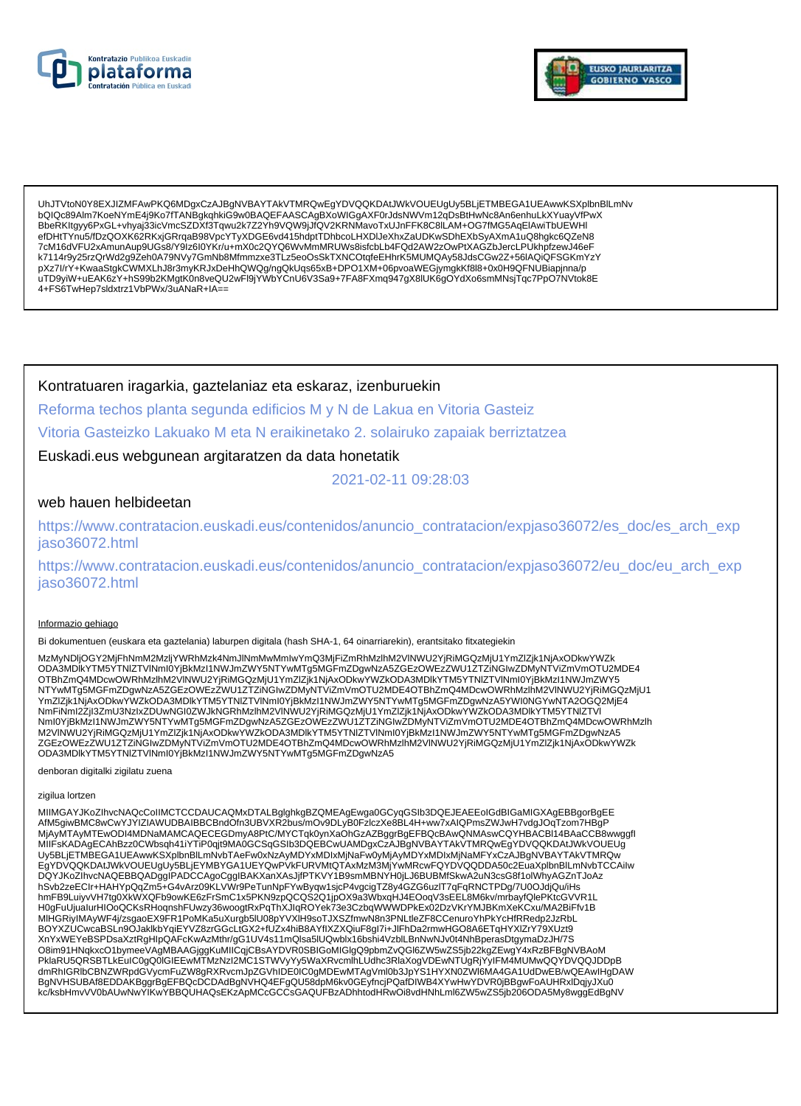



UhJTVtoN0Y8EXJIZMFAwPKQ6MDgxCzAJBgNVBAYTAkVTMRQwEgYDVQQKDAtJWkVOUEUgUy5BLjETMBEGA1UEAwwKSXplbnBlLmNv bQIQc89AIm7KoeNYmE4j9Ko7fTANBqkqhkiG9w0BAQEFAASCAqBXoWIGqAXF0rJdsNWVm12qDsBtHwNc8An6enhuLkXYuayVfPwX BbeRKItgyy6PxGL+vhyaj33icVmcSZDXf3Tqwu2k7Z2Yh9VQW9jJfQV2KRNMavoTxUJnFFK8C8LAM+OG7fMG5AqEIAwiTbUEWHI efDHtTYnu5/fDzQOXK62RKxjGRrqaB98VpcYTyXDGE6vd415hdptTDhbcoLHXDIJeXhxZaUDKwSDhEXbSyAXmA1uQ8hgkc6QZeN8 7cM16dVFU2xAmunAup9UGs8/Y9Iz6I0YKr/u+mX0c2QYQ6WvMmMRUWs8isfcbLb4FQd2AW2zOwPtXAGZbJercLPUkhpfzewJ46eF k7114r9y25rzQrWd2g9Zeh0A79NVy7GmNb8Mfmmzxe3TLz5eoOsSkTXNCOtqfeEHhrK5MUMQAy58JdsCGw2Z+56IAQiQFSGKmYzY pXz7l/rY+KwaaStgkCWMXLhJ8r3myKRJxDeHhQWQg/ngQkUqs65xB+DPO1XM+06pvoaWEGjymgkKf8l8+0x0H9QFNUBiapjnna/p<br>uTD9yiW+uEAK6zY+hS99b2KMgtK0n8veQU2wFl9jYWbYCnU6V3Sa9+7FA8FXmq947gX8lUK6gOYdXo6smMNsjTqc7PpO7NVtok8E 4+FS6TwHep7sldxtrz1VbPWx/3uANaR+IA==

Kontratuaren iragarkia, gaztelaniaz eta eskaraz, izenburuekin

Reforma techos planta segunda edificios M y N de Lakua en Vitoria Gasteiz

Vitoria Gasteizko Lakuako M eta N eraikinetako 2. solairuko zapaiak berriztatzea

### Euskadi.eus webgunean argitaratzen da data honetatik

2021-02-11 09:28:03

### web hauen helbideetan

https://www.contratacion.euskadi.eus/contenidos/anuncio\_contratacion/expjaso36072/es\_doc/es\_arch\_exp jaso36072.html

https://www.contratacion.euskadi.eus/contenidos/anuncio\_contratacion/expjaso36072/eu\_doc/eu\_arch\_exp jaso36072.html

#### Informazio gehiago

Bi dokumentuen (euskara eta gaztelania) laburpen digitala (hash SHA-1, 64 oinarriarekin), erantsitako fitxategiekin

MzMyNDIjOGY2MjFhNmM2MzIjYWRhMzk4NmJlNmMwMmlwYmQ3MjFiZmRhMzlhM2VINWU2YjRiMGQzMjU1YmZIZjk1NjAxODkwYWZk YmZlZjk1NjAxODkwYWZkODA3MDlkYTM5YTNIZTVlNml0YjBkMzl1NWJmZWY5NTYwMTg5MGFmZDgwNzA5YWI0NGYwNTA2OGQ2MjE4 NmFiNmI2ZjI3ZmU3NzIxZDUwNGI0ZWJkNGRhMzIhM2VINWU2YjRiMGQzMjU1YmZIZjk1NjAxODkwYWZkODA3MDlkYTM5YTNIZTVI Nml0YjBkMzI1NWJmZWY5NTYwMTg5MGFmZDgwNzA5ZGEzOWEzZWU1ZTZiNGIwZDMyNTViZmVmOTU2MDE4OTBhZmQ4MDcwOWRhMzlh M2VINWU2YjRiMGQzMjU1YmZlZjk1NjAxODkwYWZkODA3MDlkYTM5YTNlZTVlNml0YjBkMzl1NWJmZWY5NTYwMTg5MGFmZDgwNzA5 ZGEzOWEzZWU1ZTZiNGIwZDMyNTViZmVmOTU2MDE4OTBhZmQ4MDcwOWRhMzlhM2VINWU2YjRiMGQzMjU1YmZlZjk1NjAxODkwYWZk ODA3MDIkYTM5YTNIZTVINmI0YjBkMzI1NWJmZWY5NTYwMTg5MGFmZDgwNzA5

denboran digitalki zigilatu zuena

#### zigilua lortzen

MIIMGAYJKoZIhvcNAQcCoIIMCTCCDAUCAQMxDTALBqlqhkqBZQMEAqEwqa0GCyqGSIb3DQEJEAEEoIGdBIGaMIGXAqEBBqorBqEE AfM5giwBMC8wCwYJYIZIAWUDBAIBBCBndOfn3UBVXR2bus/mOv9DLyB0FzIczXe8BL4H+ww7xAIQPmsZWJwH7vdgJOqTzom7HBgP MjAyMTAyMTEwODI4MDNaMAMCAQECEGDmyA8PtC/MYCTqk0ynXaOhGzAZBggrBgEFBQcBAwQNMAswCQYHBACBI14BAaCCB8wwggfl MIIFsKADAgECAhBzz0CWbsqh41iYTiP0qjt9MA0GCSqGSIb3DQEBCwUAMDgxCzAJBgNVBAYTAkVTMRQwEgYDVQQKDAtJWkVOUEUG Uy5BLjETMBEGA1UEAwwKSXplbnBlLmNvbTAeFw0xNzAyMDYxMDlxMjNaFw0yMjAyMDYxMDlxMjNaMFYxCzAJBgNVBAYTAkVTMRQw EgYDVQQKDAtJWkVOUEUgUy5BLjEYMBYGA1UEYQwPVkFURVMtQTAxMzM3MjYwMRcwFQYDVQQDDA50c2EuaXplbnBlLmNvbTCCAilw DQYJKoZIhvcNAQEBBQADggIPADCCAgoCggIBAKXanXAsJjfPTKVY1B9smMBNYH0jLJ6BUBMfSkwA2uN3csG8f1olWhyAGZnTJoAz H0gFuUjualurHIOoQCKsRHoqnshFUwzy36woogtRxPqThXJlqROYek73e3CzbqWWWDPkEx02DzVKrYMJBKmXeKCxu/MA2BiFfv1B MIHGRIyIMAyWF4j/zsgaoEX9FR1PoMKa5uXurgb5lU08pYVXIH9soTJXSZfmwN8n3PNLtleZF8CCenuroYhPkYcHfRRedp2JzRbL BOYXZUCwcaBSLn9OJaklkbYqiEYVZ8zrGGcLtGX2+fUZx4hiB8AYfIXZXQiuF8gl7i+JlFhDa2rmwHGO8A6ETqHYXIZrY79XUzt9 XnYxWEYeBSPDsaXztRgHlpQAFcKwAzMthr/gG1UV4s11mQlsa5lUQwblx16bshi4VzblLBnNwNJv0t4NhBperasDtgymaDzJH/7S O8im91HNqkxcO1bymeeVAgMBAAGjggKuMIICqjCBsAYDVR0SBIGoMIGIgQ9pbmZvQGl6ZW5wZS5jb22kgZEwgY4xRzBFBgNVBAoM PklaRU5QRSBTLkEuIC0gQ0IGIEEwMTMzNzI2MC1STWVyYy5WaXRvcmlhLUdhc3RlaXogVDEwNTUgRjYyIFM4MUMwQQYDVQQJDDpB dmRhIGRIbCBNZWRpdGVycmFuZW8gRXRvcmJpZGVhIDE0IC0gMDEwMTAgVml0b3JpYS1HYXN0ZWl6MA4GA1UdDwEB/wQEAwIHgDAW<br>BgNVHSUBAf8EDDAKBggrBgEFBQcDCDAdBgNVHQ4EFgQU58dpM6kv0GEyfncjPQafDIWB4XYwHwYDVR0jBBgwFoAUHRxlDqjyJXu0 kc/ksbHmvVV0bAUwNwYIKwYBBQUHAQsEKzApMCcGCCsGAQUFBzADhhtodHRwOi8vdHNhLml6ZW5wZS5ib206ODA5Mv8wqqEdBqNV